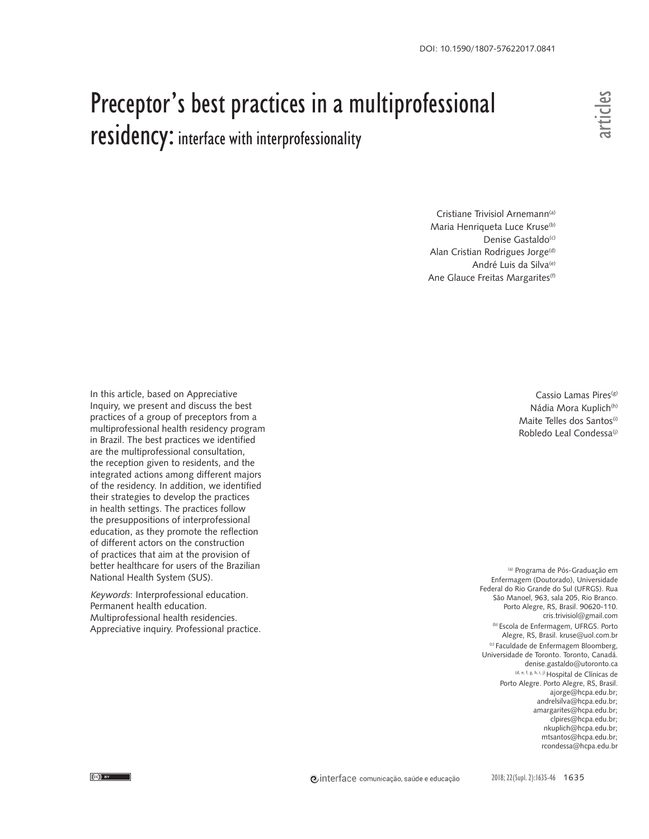# Preceptor's best practices in a multiprofessional residency: interface with interprofessionality

Cristiane Trivisiol Arnemann<sup>(a)</sup> Maria Henriqueta Luce Kruse<sup>(b)</sup> Denise Gastaldo<sup>(c)</sup> Alan Cristian Rodrigues Jorge<sup>(d)</sup> André Luis da Silva<sup>(e)</sup> Ane Glauce Freitas Margarites<sup>(f)</sup>

In this article, based on Appreciative Inquiry, we present and discuss the best practices of a group of preceptors from a multiprofessional health residency program in Brazil. The best practices we identified are the multiprofessional consultation, the reception given to residents, and the integrated actions among different majors of the residency. In addition, we identified their strategies to develop the practices in health settings. The practices follow the presuppositions of interprofessional education, as they promote the reflection of different actors on the construction of practices that aim at the provision of better healthcare for users of the Brazilian National Health System (SUS).

Keywords: Interprofessional education. Permanent health education. Multiprofessional health residencies. Appreciative inquiry. Professional practice.

Cassio Lamas Pires<sup>(g)</sup> Nádia Mora Kuplich<sup>(h)</sup> Maite Telles dos Santos<sup>(i)</sup> Robledo Leal Condessa(i)

(a) Programa de Pós-Graduação em Enfermagem (Doutorado), Universidade Federal do Rio Grande do Sul (UFRGS). Rua São Manoel, 963, sala 205, Rio Branco. Porto Alegre, RS, Brasil. 90620-110. cris.trivisiol@gmail.com (b) Escola de Enfermagem, UFRGS. Porto Alegre, RS, Brasil. kruse@uol.com.br (c) Faculdade de Enfermagem Bloomberg, Universidade de Toronto. Toronto, Canadá. denise.gastaldo@utoronto.ca (d, e, f, g, h, i, j) Hospital de Clínicas de Porto Alegre. Porto Alegre, RS, Brasil. ajorge@hcpa.edu.br; andrelsilva@hcpa.edu.br; amargarites@hcpa.edu.br; clpires@hcpa.edu.br; nkuplich@hcpa.edu.br; mtsantos@hcpa.edu.br;<br>rcondessa@hcpa.edu.br **rcondessa**<br>**recondesta**<br>**recondesta**<br>**recondesta**<br>**recondesta**<br>**recondesta**<br>**recondesta**<br>**recondessa**<br>**dia**<br>**Andre Signal Condessa**<br>**(i)**<br>**recondessa**<br>**recondessa**<br>**recondessa**<br>**recondessa**<br>**e.**<br>**recondessa**<br>**condessa**<br>**c**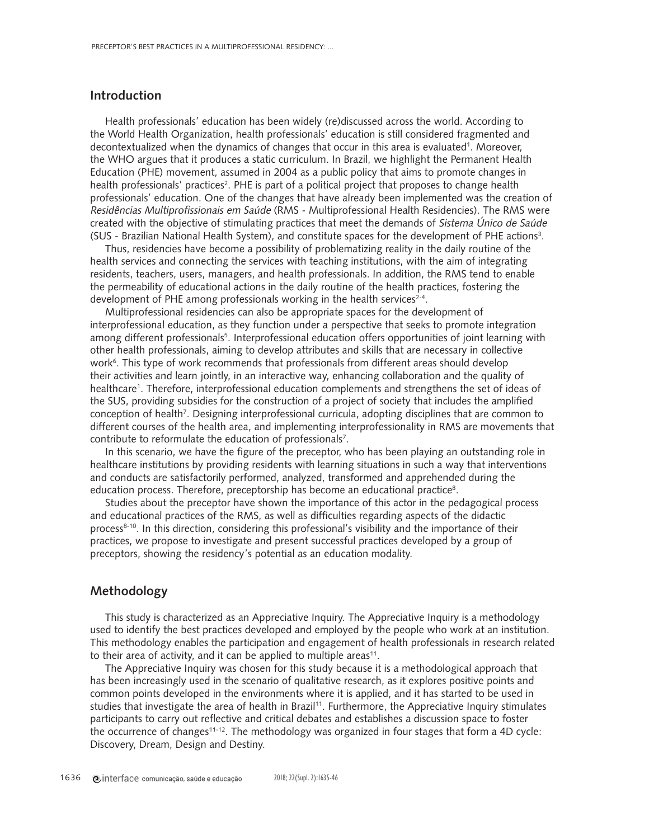## **Introduction**

Health professionals' education has been widely (re)discussed across the world. According to the World Health Organization, health professionals' education is still considered fragmented and decontextualized when the dynamics of changes that occur in this area is evaluated<sup>1</sup>. Moreover, the WHO argues that it produces a static curriculum. In Brazil, we highlight the Permanent Health Education (PHE) movement, assumed in 2004 as a public policy that aims to promote changes in health professionals' practices<sup>2</sup>. PHE is part of a political project that proposes to change health professionals' education. One of the changes that have already been implemented was the creation of Residências Multiprofissionais em Saúde (RMS - Multiprofessional Health Residencies). The RMS were created with the objective of stimulating practices that meet the demands of Sistema Único de Saúde (SUS - Brazilian National Health System), and constitute spaces for the development of PHE actions3 .

Thus, residencies have become a possibility of problematizing reality in the daily routine of the health services and connecting the services with teaching institutions, with the aim of integrating residents, teachers, users, managers, and health professionals. In addition, the RMS tend to enable the permeability of educational actions in the daily routine of the health practices, fostering the development of PHE among professionals working in the health services<sup>2-4</sup>.

Multiprofessional residencies can also be appropriate spaces for the development of interprofessional education, as they function under a perspective that seeks to promote integration among different professionals<sup>5</sup>. Interprofessional education offers opportunities of joint learning with other health professionals, aiming to develop attributes and skills that are necessary in collective work<sup>6</sup>. This type of work recommends that professionals from different areas should develop their activities and learn jointly, in an interactive way, enhancing collaboration and the quality of healthcare<sup>1</sup>. Therefore, interprofessional education complements and strengthens the set of ideas of the SUS, providing subsidies for the construction of a project of society that includes the amplified conception of health<sup>7</sup>. Designing interprofessional curricula, adopting disciplines that are common to different courses of the health area, and implementing interprofessionality in RMS are movements that contribute to reformulate the education of professionals<sup>7</sup>.

In this scenario, we have the figure of the preceptor, who has been playing an outstanding role in healthcare institutions by providing residents with learning situations in such a way that interventions and conducts are satisfactorily performed, analyzed, transformed and apprehended during the education process. Therefore, preceptorship has become an educational practice<sup>8</sup>.

Studies about the preceptor have shown the importance of this actor in the pedagogical process and educational practices of the RMS, as well as difficulties regarding aspects of the didactic process<sup>8-10</sup>. In this direction, considering this professional's visibility and the importance of their practices, we propose to investigate and present successful practices developed by a group of preceptors, showing the residency's potential as an education modality.

## **Methodology**

This study is characterized as an Appreciative Inquiry. The Appreciative Inquiry is a methodology used to identify the best practices developed and employed by the people who work at an institution. This methodology enables the participation and engagement of health professionals in research related to their area of activity, and it can be applied to multiple areas<sup>11</sup>.

The Appreciative Inquiry was chosen for this study because it is a methodological approach that has been increasingly used in the scenario of qualitative research, as it explores positive points and common points developed in the environments where it is applied, and it has started to be used in studies that investigate the area of health in Brazil<sup>11</sup>. Furthermore, the Appreciative Inquiry stimulates participants to carry out reflective and critical debates and establishes a discussion space to foster the occurrence of changes<sup>11-12</sup>. The methodology was organized in four stages that form a 4D cycle: Discovery, Dream, Design and Destiny.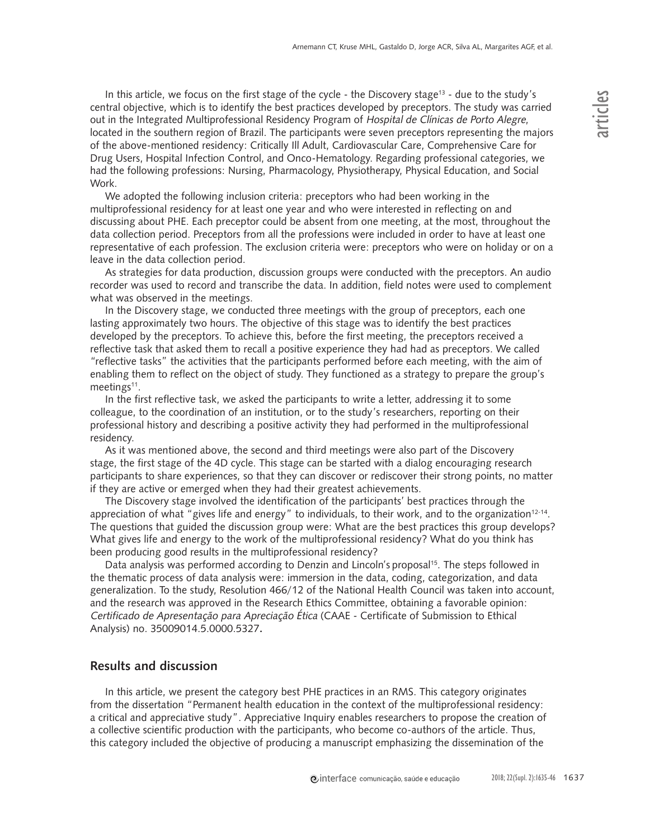In this article, we focus on the first stage of the cycle - the Discovery stage<sup>13</sup> - due to the study's central objective, which is to identify the best practices developed by preceptors. The study was carried out in the Integrated Multiprofessional Residency Program of Hospital de Clínicas de Porto Alegre, located in the southern region of Brazil. The participants were seven preceptors representing the majors of the above-mentioned residency: Critically Ill Adult, Cardiovascular Care, Comprehensive Care for Drug Users, Hospital Infection Control, and Onco-Hematology. Regarding professional categories, we had the following professions: Nursing, Pharmacology, Physiotherapy, Physical Education, and Social Work.

We adopted the following inclusion criteria: preceptors who had been working in the multiprofessional residency for at least one year and who were interested in reflecting on and discussing about PHE. Each preceptor could be absent from one meeting, at the most, throughout the data collection period. Preceptors from all the professions were included in order to have at least one representative of each profession. The exclusion criteria were: preceptors who were on holiday or on a leave in the data collection period.

As strategies for data production, discussion groups were conducted with the preceptors. An audio recorder was used to record and transcribe the data. In addition, field notes were used to complement what was observed in the meetings.

In the Discovery stage, we conducted three meetings with the group of preceptors, each one lasting approximately two hours. The objective of this stage was to identify the best practices developed by the preceptors. To achieve this, before the first meeting, the preceptors received a reflective task that asked them to recall a positive experience they had had as preceptors. We called "reflective tasks" the activities that the participants performed before each meeting, with the aim of enabling them to reflect on the object of study. They functioned as a strategy to prepare the group's meetings<sup>11</sup>.

In the first reflective task, we asked the participants to write a letter, addressing it to some colleague, to the coordination of an institution, or to the study's researchers, reporting on their professional history and describing a positive activity they had performed in the multiprofessional residency.

As it was mentioned above, the second and third meetings were also part of the Discovery stage, the first stage of the 4D cycle. This stage can be started with a dialog encouraging research participants to share experiences, so that they can discover or rediscover their strong points, no matter if they are active or emerged when they had their greatest achievements.

The Discovery stage involved the identification of the participants' best practices through the appreciation of what "gives life and energy" to individuals, to their work, and to the organization<sup>12-14</sup>. The questions that guided the discussion group were: What are the best practices this group develops? What gives life and energy to the work of the multiprofessional residency? What do you think has been producing good results in the multiprofessional residency?

Data analysis was performed according to Denzin and Lincoln's proposal<sup>15</sup>. The steps followed in the thematic process of data analysis were: immersion in the data, coding, categorization, and data generalization. To the study, Resolution 466/12 of the National Health Council was taken into account, and the research was approved in the Research Ethics Committee, obtaining a favorable opinion: Certificado de Apresentação para Apreciação Ética (CAAE - Certificate of Submission to Ethical Analysis) no. 35009014.5.0000.5327**.**

# **Results and discussion**

In this article, we present the category best PHE practices in an RMS. This category originates from the dissertation "Permanent health education in the context of the multiprofessional residency: a critical and appreciative study". Appreciative Inquiry enables researchers to propose the creation of a collective scientific production with the participants, who become co-authors of the article. Thus, this category included the objective of producing a manuscript emphasizing the dissemination of the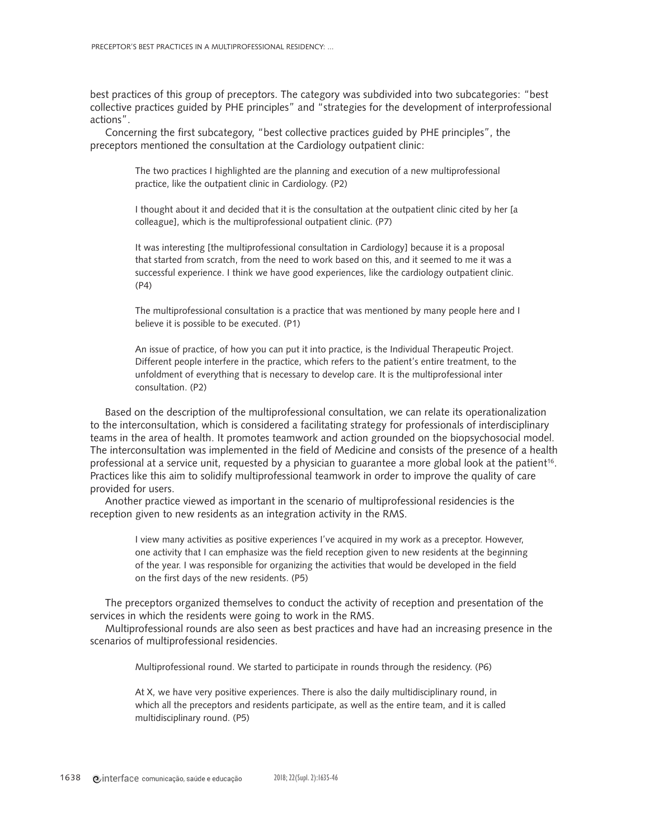best practices of this group of preceptors. The category was subdivided into two subcategories: "best collective practices guided by PHE principles" and "strategies for the development of interprofessional actions".

Concerning the first subcategory, "best collective practices guided by PHE principles", the preceptors mentioned the consultation at the Cardiology outpatient clinic:

> The two practices I highlighted are the planning and execution of a new multiprofessional practice, like the outpatient clinic in Cardiology. (P2)

I thought about it and decided that it is the consultation at the outpatient clinic cited by her [a colleague], which is the multiprofessional outpatient clinic. (P7)

It was interesting [the multiprofessional consultation in Cardiology] because it is a proposal that started from scratch, from the need to work based on this, and it seemed to me it was a successful experience. I think we have good experiences, like the cardiology outpatient clinic. (P4)

The multiprofessional consultation is a practice that was mentioned by many people here and I believe it is possible to be executed. (P1)

An issue of practice, of how you can put it into practice, is the Individual Therapeutic Project. Different people interfere in the practice, which refers to the patient's entire treatment, to the unfoldment of everything that is necessary to develop care. It is the multiprofessional inter consultation. (P2)

Based on the description of the multiprofessional consultation, we can relate its operationalization to the interconsultation, which is considered a facilitating strategy for professionals of interdisciplinary teams in the area of health. It promotes teamwork and action grounded on the biopsychosocial model. The interconsultation was implemented in the field of Medicine and consists of the presence of a health professional at a service unit, requested by a physician to guarantee a more global look at the patient<sup>16</sup>. Practices like this aim to solidify multiprofessional teamwork in order to improve the quality of care provided for users.

Another practice viewed as important in the scenario of multiprofessional residencies is the reception given to new residents as an integration activity in the RMS.

> I view many activities as positive experiences I've acquired in my work as a preceptor. However, one activity that I can emphasize was the field reception given to new residents at the beginning of the year. I was responsible for organizing the activities that would be developed in the field on the first days of the new residents. (P5)

The preceptors organized themselves to conduct the activity of reception and presentation of the services in which the residents were going to work in the RMS.

Multiprofessional rounds are also seen as best practices and have had an increasing presence in the scenarios of multiprofessional residencies.

Multiprofessional round. We started to participate in rounds through the residency. (P6)

At X, we have very positive experiences. There is also the daily multidisciplinary round, in which all the preceptors and residents participate, as well as the entire team, and it is called multidisciplinary round. (P5)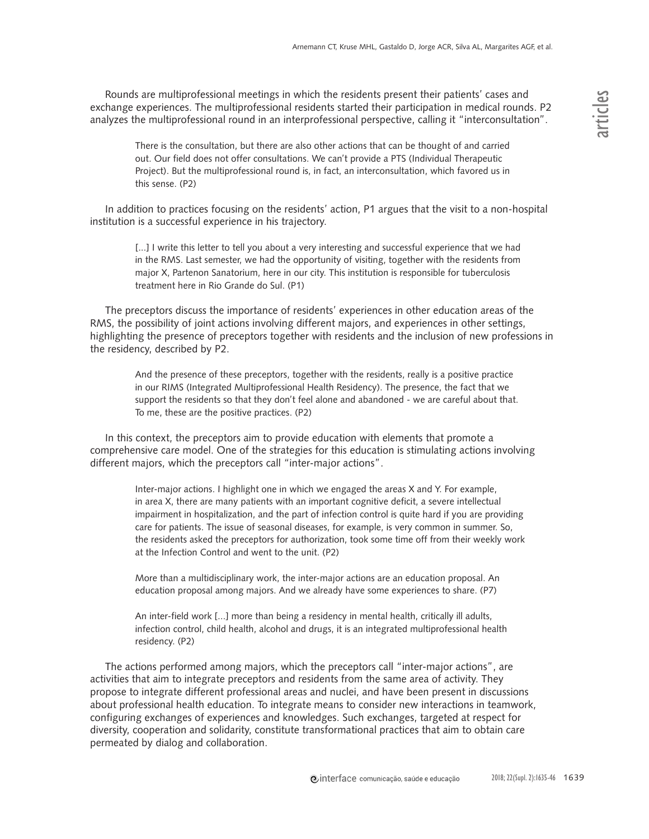Rounds are multiprofessional meetings in which the residents present their patients' cases and exchange experiences. The multiprofessional residents started their participation in medical rounds. P2 analyzes the multiprofessional round in an interprofessional perspective, calling it "interconsultation".

There is the consultation, but there are also other actions that can be thought of and carried out. Our field does not offer consultations. We can't provide a PTS (Individual Therapeutic Project). But the multiprofessional round is, in fact, an interconsultation, which favored us in this sense. (P2)

In addition to practices focusing on the residents' action, P1 argues that the visit to a non-hospital institution is a successful experience in his trajectory.

[...] I write this letter to tell you about a very interesting and successful experience that we had in the RMS. Last semester, we had the opportunity of visiting, together with the residents from major X, Partenon Sanatorium, here in our city. This institution is responsible for tuberculosis treatment here in Rio Grande do Sul. (P1)

The preceptors discuss the importance of residents' experiences in other education areas of the RMS, the possibility of joint actions involving different majors, and experiences in other settings, highlighting the presence of preceptors together with residents and the inclusion of new professions in the residency, described by P2.

And the presence of these preceptors, together with the residents, really is a positive practice in our RIMS (Integrated Multiprofessional Health Residency). The presence, the fact that we support the residents so that they don't feel alone and abandoned - we are careful about that. To me, these are the positive practices. (P2)

In this context, the preceptors aim to provide education with elements that promote a comprehensive care model. One of the strategies for this education is stimulating actions involving different majors, which the preceptors call "inter-major actions".

Inter-major actions. I highlight one in which we engaged the areas X and Y. For example, in area X, there are many patients with an important cognitive deficit, a severe intellectual impairment in hospitalization, and the part of infection control is quite hard if you are providing care for patients. The issue of seasonal diseases, for example, is very common in summer. So, the residents asked the preceptors for authorization, took some time off from their weekly work at the Infection Control and went to the unit. (P2)

More than a multidisciplinary work, the inter-major actions are an education proposal. An education proposal among majors. And we already have some experiences to share. (P7)

An inter-field work [...] more than being a residency in mental health, critically ill adults, infection control, child health, alcohol and drugs, it is an integrated multiprofessional health residency. (P2)

The actions performed among majors, which the preceptors call "inter-major actions", are activities that aim to integrate preceptors and residents from the same area of activity. They propose to integrate different professional areas and nuclei, and have been present in discussions about professional health education. To integrate means to consider new interactions in teamwork, configuring exchanges of experiences and knowledges. Such exchanges, targeted at respect for diversity, cooperation and solidarity, constitute transformational practices that aim to obtain care permeated by dialog and collaboration.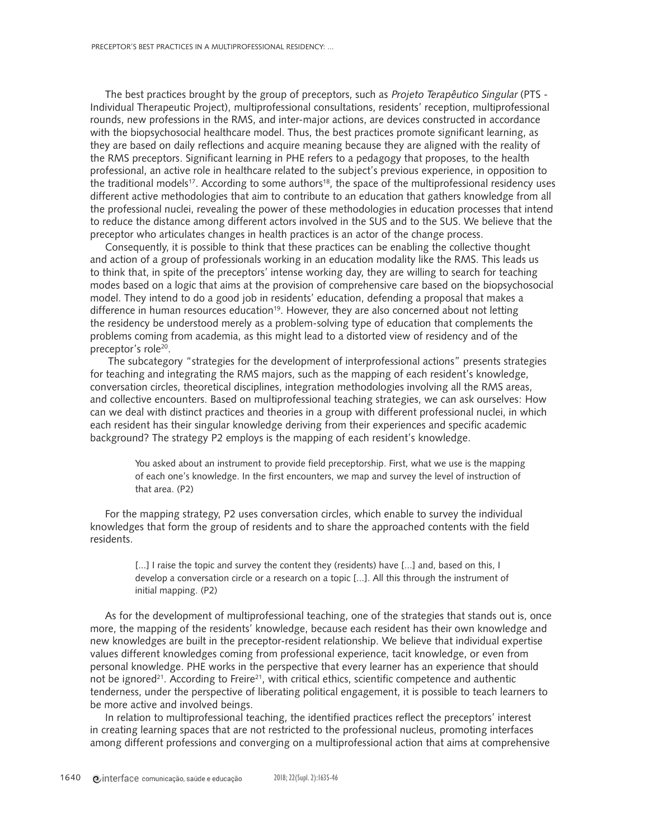The best practices brought by the group of preceptors, such as Projeto Terapêutico Singular (PTS - Individual Therapeutic Project), multiprofessional consultations, residents' reception, multiprofessional rounds, new professions in the RMS, and inter-major actions, are devices constructed in accordance with the biopsychosocial healthcare model. Thus, the best practices promote significant learning, as they are based on daily reflections and acquire meaning because they are aligned with the reality of the RMS preceptors. Significant learning in PHE refers to a pedagogy that proposes, to the health professional, an active role in healthcare related to the subject's previous experience, in opposition to the traditional models<sup>17</sup>. According to some authors<sup>18</sup>, the space of the multiprofessional residency uses different active methodologies that aim to contribute to an education that gathers knowledge from all the professional nuclei, revealing the power of these methodologies in education processes that intend to reduce the distance among different actors involved in the SUS and to the SUS. We believe that the preceptor who articulates changes in health practices is an actor of the change process.

Consequently, it is possible to think that these practices can be enabling the collective thought and action of a group of professionals working in an education modality like the RMS. This leads us to think that, in spite of the preceptors' intense working day, they are willing to search for teaching modes based on a logic that aims at the provision of comprehensive care based on the biopsychosocial model. They intend to do a good job in residents' education, defending a proposal that makes a difference in human resources education<sup>19</sup>. However, they are also concerned about not letting the residency be understood merely as a problem-solving type of education that complements the problems coming from academia, as this might lead to a distorted view of residency and of the preceptor's role<sup>20</sup>.

 The subcategory "strategies for the development of interprofessional actions" presents strategies for teaching and integrating the RMS majors, such as the mapping of each resident's knowledge, conversation circles, theoretical disciplines, integration methodologies involving all the RMS areas, and collective encounters. Based on multiprofessional teaching strategies, we can ask ourselves: How can we deal with distinct practices and theories in a group with different professional nuclei, in which each resident has their singular knowledge deriving from their experiences and specific academic background? The strategy P2 employs is the mapping of each resident's knowledge.

You asked about an instrument to provide field preceptorship. First, what we use is the mapping of each one's knowledge. In the first encounters, we map and survey the level of instruction of that area. (P2)

For the mapping strategy, P2 uses conversation circles, which enable to survey the individual knowledges that form the group of residents and to share the approached contents with the field residents.

[...] I raise the topic and survey the content they (residents) have [...] and, based on this, I develop a conversation circle or a research on a topic [...]. All this through the instrument of initial mapping. (P2)

As for the development of multiprofessional teaching, one of the strategies that stands out is, once more, the mapping of the residents' knowledge, because each resident has their own knowledge and new knowledges are built in the preceptor-resident relationship. We believe that individual expertise values different knowledges coming from professional experience, tacit knowledge, or even from personal knowledge. PHE works in the perspective that every learner has an experience that should not be ignored<sup>21</sup>. According to Freire<sup>21</sup>, with critical ethics, scientific competence and authentic tenderness, under the perspective of liberating political engagement, it is possible to teach learners to be more active and involved beings.

In relation to multiprofessional teaching, the identified practices reflect the preceptors' interest in creating learning spaces that are not restricted to the professional nucleus, promoting interfaces among different professions and converging on a multiprofessional action that aims at comprehensive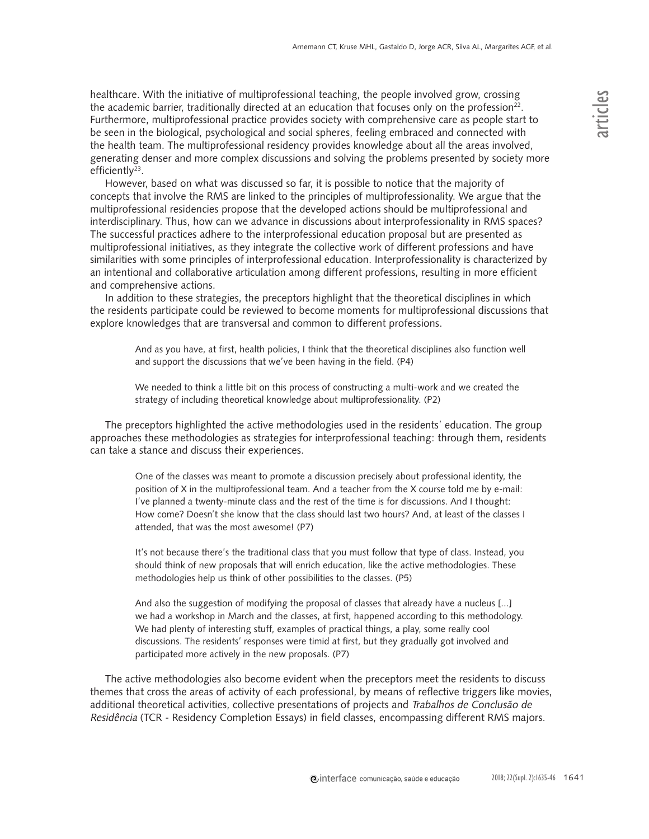healthcare. With the initiative of multiprofessional teaching, the people involved grow, crossing the academic barrier, traditionally directed at an education that focuses only on the profession $22$ . Furthermore, multiprofessional practice provides society with comprehensive care as people start to be seen in the biological, psychological and social spheres, feeling embraced and connected with the health team. The multiprofessional residency provides knowledge about all the areas involved, generating denser and more complex discussions and solving the problems presented by society more efficiently $23$ .

However, based on what was discussed so far, it is possible to notice that the majority of concepts that involve the RMS are linked to the principles of multiprofessionality. We argue that the multiprofessional residencies propose that the developed actions should be multiprofessional and interdisciplinary. Thus, how can we advance in discussions about interprofessionality in RMS spaces? The successful practices adhere to the interprofessional education proposal but are presented as multiprofessional initiatives, as they integrate the collective work of different professions and have similarities with some principles of interprofessional education. Interprofessionality is characterized by an intentional and collaborative articulation among different professions, resulting in more efficient and comprehensive actions.

In addition to these strategies, the preceptors highlight that the theoretical disciplines in which the residents participate could be reviewed to become moments for multiprofessional discussions that explore knowledges that are transversal and common to different professions.

And as you have, at first, health policies, I think that the theoretical disciplines also function well and support the discussions that we've been having in the field. (P4)

We needed to think a little bit on this process of constructing a multi-work and we created the strategy of including theoretical knowledge about multiprofessionality. (P2)

The preceptors highlighted the active methodologies used in the residents' education. The group approaches these methodologies as strategies for interprofessional teaching: through them, residents can take a stance and discuss their experiences.

One of the classes was meant to promote a discussion precisely about professional identity, the position of X in the multiprofessional team. And a teacher from the X course told me by e-mail: I've planned a twenty-minute class and the rest of the time is for discussions. And I thought: How come? Doesn't she know that the class should last two hours? And, at least of the classes I attended, that was the most awesome! (P7)

It's not because there's the traditional class that you must follow that type of class. Instead, you should think of new proposals that will enrich education, like the active methodologies. These methodologies help us think of other possibilities to the classes. (P5)

And also the suggestion of modifying the proposal of classes that already have a nucleus [...] we had a workshop in March and the classes, at first, happened according to this methodology. We had plenty of interesting stuff, examples of practical things, a play, some really cool discussions. The residents' responses were timid at first, but they gradually got involved and participated more actively in the new proposals. (P7)

The active methodologies also become evident when the preceptors meet the residents to discuss themes that cross the areas of activity of each professional, by means of reflective triggers like movies, additional theoretical activities, collective presentations of projects and Trabalhos de Conclusão de Residência (TCR - Residency Completion Essays) in field classes, encompassing different RMS majors.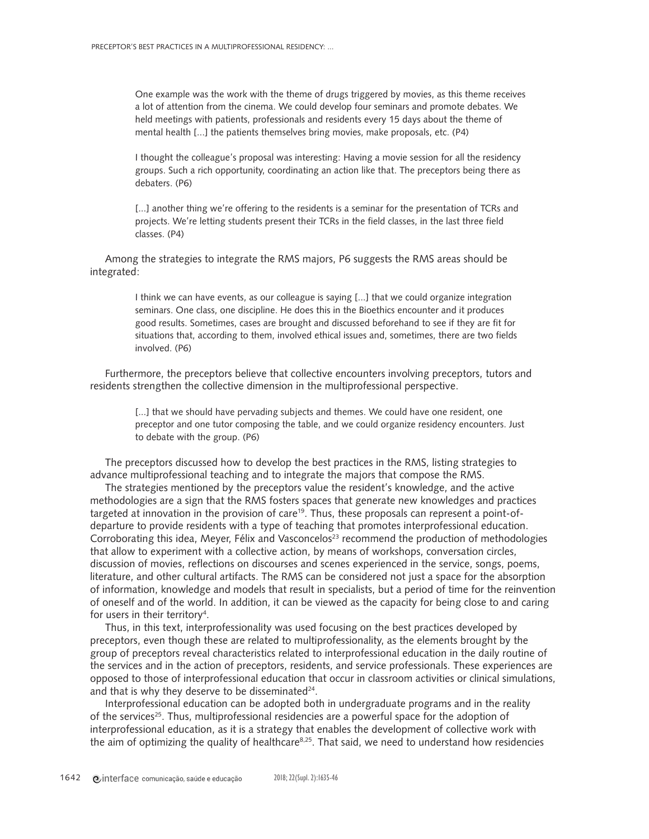One example was the work with the theme of drugs triggered by movies, as this theme receives a lot of attention from the cinema. We could develop four seminars and promote debates. We held meetings with patients, professionals and residents every 15 days about the theme of mental health [...] the patients themselves bring movies, make proposals, etc. (P4)

I thought the colleague's proposal was interesting: Having a movie session for all the residency groups. Such a rich opportunity, coordinating an action like that. The preceptors being there as debaters. (P6)

[...] another thing we're offering to the residents is a seminar for the presentation of TCRs and projects. We're letting students present their TCRs in the field classes, in the last three field classes. (P4)

Among the strategies to integrate the RMS majors, P6 suggests the RMS areas should be integrated:

> I think we can have events, as our colleague is saying [...] that we could organize integration seminars. One class, one discipline. He does this in the Bioethics encounter and it produces good results. Sometimes, cases are brought and discussed beforehand to see if they are fit for situations that, according to them, involved ethical issues and, sometimes, there are two fields involved. (P6)

Furthermore, the preceptors believe that collective encounters involving preceptors, tutors and residents strengthen the collective dimension in the multiprofessional perspective.

[...] that we should have pervading subjects and themes. We could have one resident, one preceptor and one tutor composing the table, and we could organize residency encounters. Just to debate with the group. (P6)

The preceptors discussed how to develop the best practices in the RMS, listing strategies to advance multiprofessional teaching and to integrate the majors that compose the RMS.

The strategies mentioned by the preceptors value the resident's knowledge, and the active methodologies are a sign that the RMS fosters spaces that generate new knowledges and practices targeted at innovation in the provision of care<sup>19</sup>. Thus, these proposals can represent a point-ofdeparture to provide residents with a type of teaching that promotes interprofessional education. Corroborating this idea, Meyer, Félix and Vasconcelos<sup>23</sup> recommend the production of methodologies that allow to experiment with a collective action, by means of workshops, conversation circles, discussion of movies, reflections on discourses and scenes experienced in the service, songs, poems, literature, and other cultural artifacts. The RMS can be considered not just a space for the absorption of information, knowledge and models that result in specialists, but a period of time for the reinvention of oneself and of the world. In addition, it can be viewed as the capacity for being close to and caring for users in their territory<sup>4</sup>.

Thus, in this text, interprofessionality was used focusing on the best practices developed by preceptors, even though these are related to multiprofessionality, as the elements brought by the group of preceptors reveal characteristics related to interprofessional education in the daily routine of the services and in the action of preceptors, residents, and service professionals. These experiences are opposed to those of interprofessional education that occur in classroom activities or clinical simulations, and that is why they deserve to be disseminated $24$ .

Interprofessional education can be adopted both in undergraduate programs and in the reality of the services<sup>25</sup>. Thus, multiprofessional residencies are a powerful space for the adoption of interprofessional education, as it is a strategy that enables the development of collective work with the aim of optimizing the quality of healthcare $8,25$ . That said, we need to understand how residencies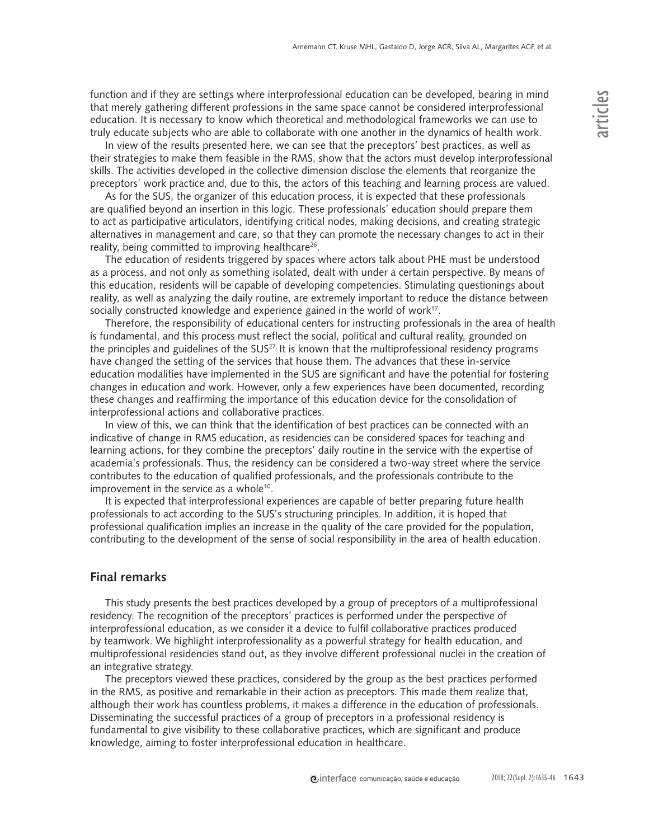function and if they are settings where interprofessional education can be developed, bearing in mind that merely gathering different professions in the same space cannot be considered interprofessional education. It is necessary to know which theoretical and methodological frameworks we can use to truly educate subjects who are able to collaborate with one another in the dynamics of health work.

In view of the results presented here, we can see that the preceptors' best practices, as well as their strategies to make them feasible in the RMS, show that the actors must develop interprofessional skills. The activities developed in the collective dimension disclose the elements that reorganize the preceptors' work practice and, due to this, the actors of this teaching and learning process are valued.

As for the SUS, the organizer of this education process, it is expected that these professionals are qualified beyond an insertion in this logic. These professionals' education should prepare them to act as participative articulators, identifying critical nodes, making decisions, and creating strategic alternatives in management and care, so that they can promote the necessary changes to act in their reality, being committed to improving healthcare<sup>26</sup>.

The education of residents triggered by spaces where actors talk about PHE must be understood as a process, and not only as something isolated, dealt with under a certain perspective. By means of this education, residents will be capable of developing competencies. Stimulating questionings about reality, as well as analyzing the daily routine, are extremely important to reduce the distance between socially constructed knowledge and experience gained in the world of work<sup>17</sup>.

Therefore, the responsibility of educational centers for instructing professionals in the area of health is fundamental, and this process must reflect the social, political and cultural reality, grounded on the principles and guidelines of the  $SUS^{27}$ . It is known that the multiprofessional residency programs have changed the setting of the services that house them. The advances that these in-service education modalities have implemented in the SUS are significant and have the potential for fostering changes in education and work. However, only a few experiences have been documented, recording these changes and reaffirming the importance of this education device for the consolidation of interprofessional actions and collaborative practices.

In view of this, we can think that the identification of best practices can be connected with an indicative of change in RMS education, as residencies can be considered spaces for teaching and learning actions, for they combine the preceptors' daily routine in the service with the expertise of academia's professionals. Thus, the residency can be considered a two-way street where the service contributes to the education of qualified professionals, and the professionals contribute to the improvement in the service as a whole<sup>10</sup>.

It is expected that interprofessional experiences are capable of better preparing future health professionals to act according to the SUS's structuring principles. In addition, it is hoped that professional qualification implies an increase in the quality of the care provided for the population, contributing to the development of the sense of social responsibility in the area of health education.

# **Final remarks**

This study presents the best practices developed by a group of preceptors of a multiprofessional residency. The recognition of the preceptors' practices is performed under the perspective of interprofessional education, as we consider it a device to fulfil collaborative practices produced by teamwork. We highlight interprofessionality as a powerful strategy for health education, and multiprofessional residencies stand out, as they involve different professional nuclei in the creation of an integrative strategy.

The preceptors viewed these practices, considered by the group as the best practices performed in the RMS, as positive and remarkable in their action as preceptors. This made them realize that, although their work has countless problems, it makes a difference in the education of professionals. Disseminating the successful practices of a group of preceptors in a professional residency is fundamental to give visibility to these collaborative practices, which are significant and produce knowledge, aiming to foster interprofessional education in healthcare.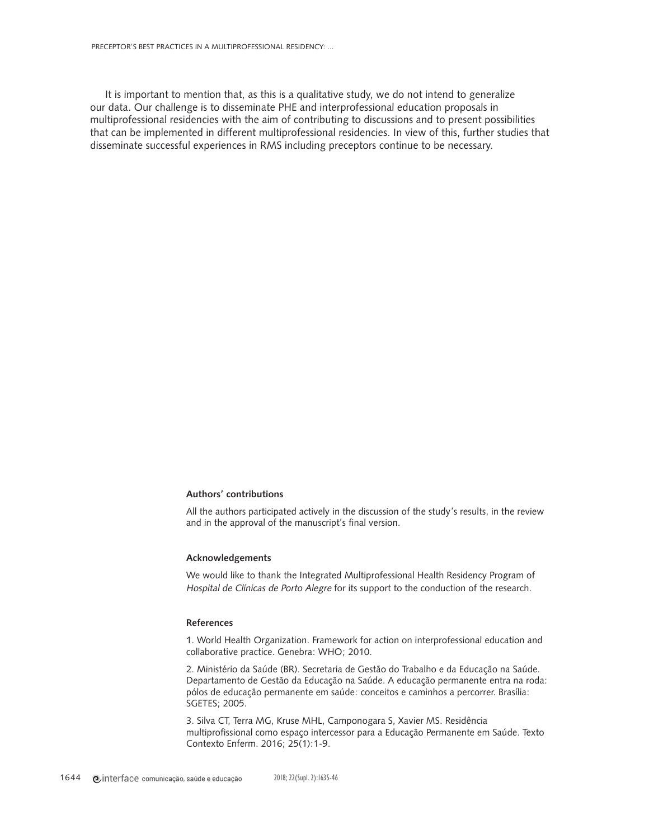It is important to mention that, as this is a qualitative study, we do not intend to generalize our data. Our challenge is to disseminate PHE and interprofessional education proposals in multiprofessional residencies with the aim of contributing to discussions and to present possibilities that can be implemented in different multiprofessional residencies. In view of this, further studies that disseminate successful experiences in RMS including preceptors continue to be necessary.

## **Authors' contributions**

All the authors participated actively in the discussion of the study's results, in the review and in the approval of the manuscript's final version.

### **Acknowledgements**

We would like to thank the Integrated Multiprofessional Health Residency Program of Hospital de Clínicas de Porto Alegre for its support to the conduction of the research.

### **References**

1. World Health Organization. Framework for action on interprofessional education and collaborative practice. Genebra: WHO; 2010.

2. Ministério da Saúde (BR). Secretaria de Gestão do Trabalho e da Educação na Saúde. Departamento de Gestão da Educação na Saúde. A educação permanente entra na roda: pólos de educação permanente em saúde: conceitos e caminhos a percorrer. Brasília: SGETES; 2005.

3. Silva CT, Terra MG, Kruse MHL, Camponogara S, Xavier MS. Residência multiprofissional como espaço intercessor para a Educação Permanente em Saúde. Texto Contexto Enferm. 2016; 25(1):1-9.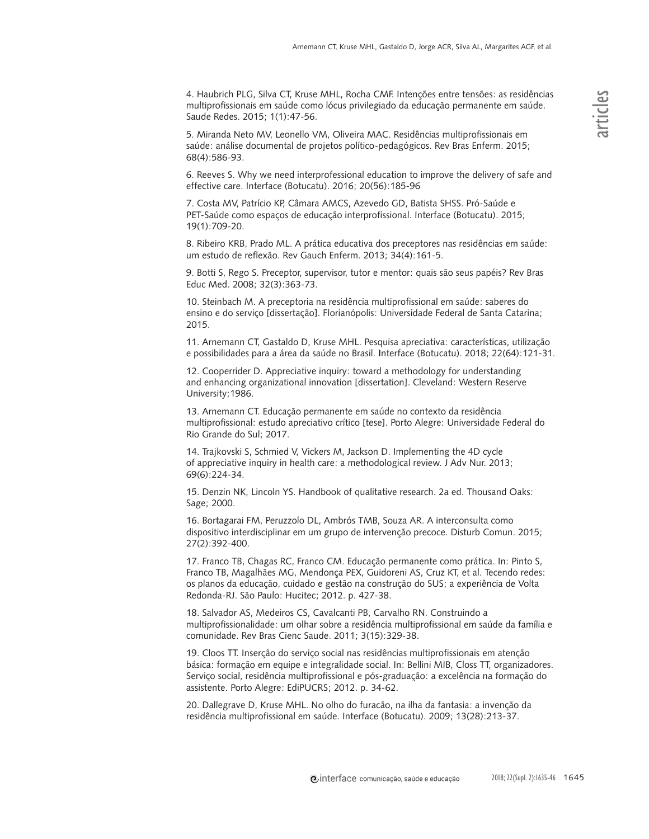4. Haubrich PLG, Silva CT, Kruse MHL, Rocha CMF. Intenções entre tensões: as residências multiprofissionais em saúde como lócus privilegiado da educação permanente em saúde. Saude Redes. 2015; 1(1):47-56.

5. Miranda Neto MV, Leonello VM, Oliveira MAC. Residências multiprofissionais em saúde: análise documental de projetos político-pedagógicos. Rev Bras Enferm. 2015; 68(4):586-93.

6. Reeves S. Why we need interprofessional education to improve the delivery of safe and effective care. Interface (Botucatu). 2016; 20(56):185-96

7. Costa MV, Patrício KP, Câmara AMCS, Azevedo GD, Batista SHSS. Pró-Saúde e PET-Saúde como espaços de educação interprofissional. Interface (Botucatu). 2015; 19(1):709-20.

8. Ribeiro KRB, Prado ML. A prática educativa dos preceptores nas residências em saúde: um estudo de reflexão. Rev Gauch Enferm. 2013; 34(4):161-5.

9. Botti S, Rego S. Preceptor, supervisor, tutor e mentor: quais são seus papéis? Rev Bras Educ Med. 2008; 32(3):363-73.

10. Steinbach M. A preceptoria na residência multiprofissional em saúde: saberes do ensino e do serviço [dissertação]. Florianópolis: Universidade Federal de Santa Catarina; 2015.

11. Arnemann CT, Gastaldo D, Kruse MHL. Pesquisa apreciativa: características, utilização e possibilidades para a área da saúde no Brasil. **I**nterface (Botucatu). 2018; 22(64):121-31.

12. Cooperrider D. Appreciative inquiry: toward a methodology for understanding and enhancing organizational innovation [dissertation]. Cleveland: Western Reserve University;1986.

13. Arnemann CT. Educação permanente em saúde no contexto da residência multiprofissional: estudo apreciativo crítico [tese]. Porto Alegre: Universidade Federal do Rio Grande do Sul; 2017.

14. Trajkovski S, Schmied V, Vickers M, Jackson D. Implementing the 4D cycle of appreciative inquiry in health care: a methodological review. J Adv Nur. 2013; 69(6):224-34.

15. Denzin NK, Lincoln YS. Handbook of qualitative research. 2a ed. Thousand Oaks: Sage; 2000.

16. Bortagarai FM, Peruzzolo DL, Ambrós TMB, Souza AR. A interconsulta como dispositivo interdisciplinar em um grupo de intervenção precoce. Disturb Comun. 2015; 27(2):392-400.

17. Franco TB, Chagas RC, Franco CM. Educação permanente como prática. In: Pinto S, Franco TB, Magalhães MG, Mendonça PEX, Guidoreni AS, Cruz KT, et al. Tecendo redes: os planos da educação, cuidado e gestão na construção do SUS; a experiência de Volta Redonda-RJ. São Paulo: Hucitec; 2012. p. 427-38.

18. Salvador AS, Medeiros CS, Cavalcanti PB, Carvalho RN. Construindo a multiprofissionalidade: um olhar sobre a residência multiprofissional em saúde da família e comunidade. Rev Bras Cienc Saude. 2011; 3(15):329-38.

19. Cloos TT. Inserção do serviço social nas residências multiprofissionais em atenção básica: formação em equipe e integralidade social. In: Bellini MIB, Closs TT, organizadores. Serviço social, residência multiprofissional e pós-graduação: a excelência na formação do assistente. Porto Alegre: EdiPUCRS; 2012. p. 34-62.

20. Dallegrave D, Kruse MHL. No olho do furacão, na ilha da fantasia: a invenção da residência multiprofissional em saúde. Interface (Botucatu). 2009; 13(28):213-37.